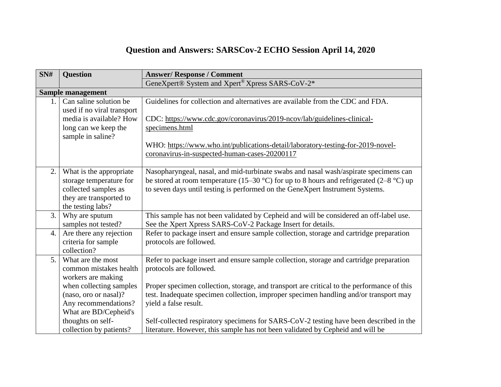## **Question and Answers: SARSCov-2 ECHO Session April 14, 2020**

| SNH              | <b>Question</b>                                                                                                            | <b>Answer/Response / Comment</b>                                                                                                                                                                                                                                 |  |  |  |
|------------------|----------------------------------------------------------------------------------------------------------------------------|------------------------------------------------------------------------------------------------------------------------------------------------------------------------------------------------------------------------------------------------------------------|--|--|--|
|                  |                                                                                                                            | GeneXpert® System and Xpert® Xpress SARS-CoV-2*                                                                                                                                                                                                                  |  |  |  |
|                  | Sample management                                                                                                          |                                                                                                                                                                                                                                                                  |  |  |  |
| 1.               | Can saline solution be<br>used if no viral transport<br>media is available? How                                            | Guidelines for collection and alternatives are available from the CDC and FDA.<br>CDC: https://www.cdc.gov/coronavirus/2019-ncov/lab/guidelines-clinical-                                                                                                        |  |  |  |
|                  | long can we keep the<br>sample in saline?                                                                                  | specimens.html                                                                                                                                                                                                                                                   |  |  |  |
|                  |                                                                                                                            | WHO: https://www.who.int/publications-detail/laboratory-testing-for-2019-novel-<br>coronavirus-in-suspected-human-cases-20200117                                                                                                                                 |  |  |  |
| 2.               | What is the appropriate<br>storage temperature for<br>collected samples as<br>they are transported to<br>the testing labs? | Nasopharyngeal, nasal, and mid-turbinate swabs and nasal wash/aspirate specimens can<br>be stored at room temperature (15–30 °C) for up to 8 hours and refrigerated (2–8 °C) up<br>to seven days until testing is performed on the GeneXpert Instrument Systems. |  |  |  |
| 3.               | Why are sputum<br>samples not tested?                                                                                      | This sample has not been validated by Cepheid and will be considered an off-label use.<br>See the Xpert Xpress SARS-CoV-2 Package Insert for details.                                                                                                            |  |  |  |
| $\overline{4}$ . | Are there any rejection<br>criteria for sample<br>collection?                                                              | Refer to package insert and ensure sample collection, storage and cartridge preparation<br>protocols are followed.                                                                                                                                               |  |  |  |
| 5.               | What are the most<br>common mistakes health<br>workers are making                                                          | Refer to package insert and ensure sample collection, storage and cartridge preparation<br>protocols are followed.                                                                                                                                               |  |  |  |
|                  | when collecting samples<br>(naso, oro or nasal)?<br>Any recommendations?<br>What are BD/Cepheid's                          | Proper specimen collection, storage, and transport are critical to the performance of this<br>test. Inadequate specimen collection, improper specimen handling and/or transport may<br>yield a false result.                                                     |  |  |  |
|                  | thoughts on self-<br>collection by patients?                                                                               | Self-collected respiratory specimens for SARS-CoV-2 testing have been described in the<br>literature. However, this sample has not been validated by Cepheid and will be                                                                                         |  |  |  |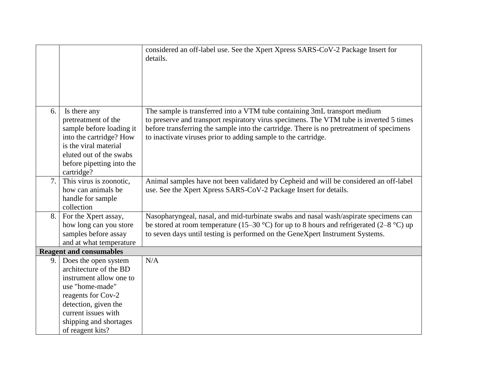|     |                                                                                                                                                                                                                 | considered an off-label use. See the Xpert Xpress SARS-CoV-2 Package Insert for<br>details.                                                                                                                                                                                                                                        |
|-----|-----------------------------------------------------------------------------------------------------------------------------------------------------------------------------------------------------------------|------------------------------------------------------------------------------------------------------------------------------------------------------------------------------------------------------------------------------------------------------------------------------------------------------------------------------------|
| 6.  | Is there any<br>pretreatment of the<br>sample before loading it<br>into the cartridge? How<br>is the viral material<br>eluted out of the swabs<br>before pipetting into the<br>cartridge?                       | The sample is transferred into a VTM tube containing 3mL transport medium<br>to preserve and transport respiratory virus specimens. The VTM tube is inverted 5 times<br>before transferring the sample into the cartridge. There is no pretreatment of specimens<br>to inactivate viruses prior to adding sample to the cartridge. |
| 7.  | This virus is zoonotic,<br>how can animals be<br>handle for sample<br>collection                                                                                                                                | Animal samples have not been validated by Cepheid and will be considered an off-label<br>use. See the Xpert Xpress SARS-CoV-2 Package Insert for details.                                                                                                                                                                          |
| 8.  | For the Xpert assay,<br>how long can you store<br>samples before assay<br>and at what temperature                                                                                                               | Nasopharyngeal, nasal, and mid-turbinate swabs and nasal wash/aspirate specimens can<br>be stored at room temperature (15–30 °C) for up to 8 hours and refrigerated (2–8 °C) up<br>to seven days until testing is performed on the GeneXpert Instrument Systems.                                                                   |
|     | <b>Reagent and consumables</b>                                                                                                                                                                                  |                                                                                                                                                                                                                                                                                                                                    |
| 9.1 | Does the open system<br>architecture of the BD<br>instrument allow one to<br>use "home-made"<br>reagents for Cov-2<br>detection, given the<br>current issues with<br>shipping and shortages<br>of reagent kits? | N/A                                                                                                                                                                                                                                                                                                                                |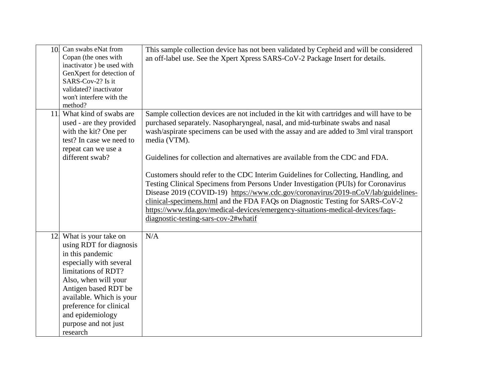| 10. | Can swabs eNat from<br>Copan (the ones with<br>inactivator) be used with<br>GenXpert for detection of<br>SARS-Cov-2? Is it<br>validated? inactivator<br>won't interfere with the<br>method?                                                                                              | This sample collection device has not been validated by Cepheid and will be considered<br>an off-label use. See the Xpert Xpress SARS-CoV-2 Package Insert for details.                                                                                                                                                                                                                                                                                                                                                                                                                                                                                                                                                                                                                                                                              |
|-----|------------------------------------------------------------------------------------------------------------------------------------------------------------------------------------------------------------------------------------------------------------------------------------------|------------------------------------------------------------------------------------------------------------------------------------------------------------------------------------------------------------------------------------------------------------------------------------------------------------------------------------------------------------------------------------------------------------------------------------------------------------------------------------------------------------------------------------------------------------------------------------------------------------------------------------------------------------------------------------------------------------------------------------------------------------------------------------------------------------------------------------------------------|
|     | 11. What kind of swabs are<br>used - are they provided<br>with the kit? One per<br>test? In case we need to<br>repeat can we use a<br>different swab?                                                                                                                                    | Sample collection devices are not included in the kit with cartridges and will have to be<br>purchased separately. Nasopharyngeal, nasal, and mid-turbinate swabs and nasal<br>wash/aspirate specimens can be used with the assay and are added to 3ml viral transport<br>media (VTM).<br>Guidelines for collection and alternatives are available from the CDC and FDA.<br>Customers should refer to the CDC Interim Guidelines for Collecting, Handling, and<br>Testing Clinical Specimens from Persons Under Investigation (PUIs) for Coronavirus<br>Disease 2019 (COVID-19) https://www.cdc.gov/coronavirus/2019-nCoV/lab/guidelines-<br>clinical-specimens.html and the FDA FAQs on Diagnostic Testing for SARS-CoV-2<br>https://www.fda.gov/medical-devices/emergency-situations-medical-devices/faqs-<br>diagnostic-testing-sars-cov-2#whatif |
|     | 12. What is your take on<br>using RDT for diagnosis<br>in this pandemic<br>especially with several<br>limitations of RDT?<br>Also, when will your<br>Antigen based RDT be<br>available. Which is your<br>preference for clinical<br>and epidemiology<br>purpose and not just<br>research | N/A                                                                                                                                                                                                                                                                                                                                                                                                                                                                                                                                                                                                                                                                                                                                                                                                                                                  |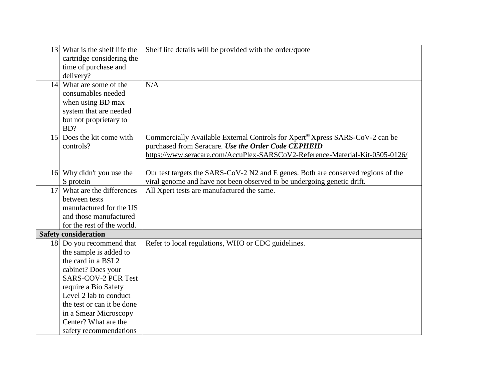|                 | 13. What is the shelf life the | Shelf life details will be provided with the order/quote                          |
|-----------------|--------------------------------|-----------------------------------------------------------------------------------|
|                 | cartridge considering the      |                                                                                   |
|                 | time of purchase and           |                                                                                   |
|                 | delivery?                      |                                                                                   |
|                 | 14. What are some of the       | N/A                                                                               |
|                 | consumables needed             |                                                                                   |
|                 | when using BD max              |                                                                                   |
|                 | system that are needed         |                                                                                   |
|                 | but not proprietary to         |                                                                                   |
|                 | BD?                            |                                                                                   |
|                 | 15. Does the kit come with     | Commercially Available External Controls for Xpert® Xpress SARS-CoV-2 can be      |
|                 | controls?                      | purchased from Seracare. Use the Order Code CEPHEID                               |
|                 |                                | https://www.seracare.com/AccuPlex-SARSCoV2-Reference-Material-Kit-0505-0126/      |
|                 |                                |                                                                                   |
|                 | 16 Why didn't you use the      | Our test targets the SARS-CoV-2 N2 and E genes. Both are conserved regions of the |
|                 | S protein                      | viral genome and have not been observed to be undergoing genetic drift.           |
| 17 <sup>1</sup> | What are the differences       | All Xpert tests are manufactured the same.                                        |
|                 | between tests                  |                                                                                   |
|                 | manufactured for the US        |                                                                                   |
|                 | and those manufactured         |                                                                                   |
|                 | for the rest of the world.     |                                                                                   |
|                 | <b>Safety consideration</b>    |                                                                                   |
|                 | 18 Do you recommend that       | Refer to local regulations, WHO or CDC guidelines.                                |
|                 | the sample is added to         |                                                                                   |
|                 | the card in a BSL2             |                                                                                   |
|                 | cabinet? Does your             |                                                                                   |
|                 | <b>SARS-COV-2 PCR Test</b>     |                                                                                   |
|                 | require a Bio Safety           |                                                                                   |
|                 | Level 2 lab to conduct         |                                                                                   |
|                 | the test or can it be done     |                                                                                   |
|                 | in a Smear Microscopy          |                                                                                   |
|                 | Center? What are the           |                                                                                   |
|                 | safety recommendations         |                                                                                   |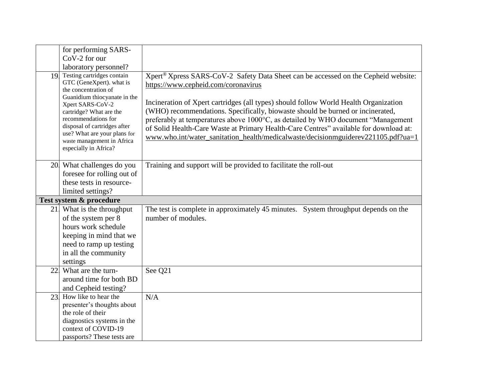|     | for performing SARS-<br>CoV-2 for our<br>laboratory personnel?                                                                                                                                                                                                                                                 |                                                                                                                                                                                                                                                                                                                                                                                                                                                                                                                                                                                   |
|-----|----------------------------------------------------------------------------------------------------------------------------------------------------------------------------------------------------------------------------------------------------------------------------------------------------------------|-----------------------------------------------------------------------------------------------------------------------------------------------------------------------------------------------------------------------------------------------------------------------------------------------------------------------------------------------------------------------------------------------------------------------------------------------------------------------------------------------------------------------------------------------------------------------------------|
|     | 19 Testing cartridges contain<br>GTC (GeneXpert). what is<br>the concentration of<br>Guanidium thiocyanate in the<br>Xpert SARS-CoV-2<br>cartridge? What are the<br>recommendations for<br>disposal of cartridges after<br>use? What are your plans for<br>waste management in Africa<br>especially in Africa? | Xpert <sup>®</sup> Xpress SARS-CoV-2 Safety Data Sheet can be accessed on the Cepheid website:<br>https://www.cepheid.com/coronavirus<br>Incineration of Xpert cartridges (all types) should follow World Health Organization<br>(WHO) recommendations. Specifically, biowaste should be burned or incinerated,<br>preferably at temperatures above 1000°C, as detailed by WHO document "Management<br>of Solid Health-Care Waste at Primary Health-Care Centres" available for download at:<br>www.who.int/water_sanitation_health/medicalwaste/decisionmguiderev221105.pdf?ua=1 |
|     | 20 What challenges do you<br>foresee for rolling out of<br>these tests in resource-<br>limited settings?                                                                                                                                                                                                       | Training and support will be provided to facilitate the roll-out                                                                                                                                                                                                                                                                                                                                                                                                                                                                                                                  |
|     | Test system & procedure                                                                                                                                                                                                                                                                                        |                                                                                                                                                                                                                                                                                                                                                                                                                                                                                                                                                                                   |
|     | 21. What is the throughput<br>of the system per 8<br>hours work schedule<br>keeping in mind that we<br>need to ramp up testing<br>in all the community<br>settings                                                                                                                                             | The test is complete in approximately 45 minutes. System throughput depends on the<br>number of modules.                                                                                                                                                                                                                                                                                                                                                                                                                                                                          |
| 22. | What are the turn-<br>around time for both BD<br>and Cepheid testing?                                                                                                                                                                                                                                          | See Q21                                                                                                                                                                                                                                                                                                                                                                                                                                                                                                                                                                           |
| 23. | How like to hear the<br>presenter's thoughts about<br>the role of their<br>diagnostics systems in the<br>context of COVID-19<br>passports? These tests are                                                                                                                                                     | N/A                                                                                                                                                                                                                                                                                                                                                                                                                                                                                                                                                                               |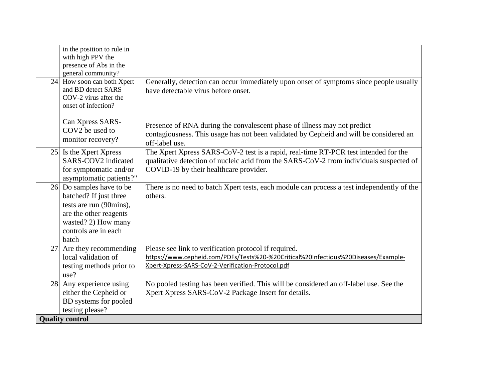| in the position to rule in<br>with high PPV the<br>presence of Abs in the<br>general community?                                                                 |                                                                                                                                                                                                                          |
|-----------------------------------------------------------------------------------------------------------------------------------------------------------------|--------------------------------------------------------------------------------------------------------------------------------------------------------------------------------------------------------------------------|
| 24. How soon can both Xpert<br>and BD detect SARS<br>COV-2 virus after the<br>onset of infection?                                                               | Generally, detection can occur immediately upon onset of symptoms since people usually<br>have detectable virus before onset.                                                                                            |
| Can Xpress SARS-<br>COV2 be used to<br>monitor recovery?                                                                                                        | Presence of RNA during the convalescent phase of illness may not predict<br>contagiousness. This usage has not been validated by Cepheid and will be considered an<br>off-label use.                                     |
| 25. Is the Xpert Xpress<br>SARS-COV2 indicated<br>for symptomatic and/or<br>asymptomatic patients?"                                                             | The Xpert Xpress SARS-CoV-2 test is a rapid, real-time RT-PCR test intended for the<br>qualitative detection of nucleic acid from the SARS-CoV-2 from individuals suspected of<br>COVID-19 by their healthcare provider. |
| 26 Do samples have to be<br>batched? If just three<br>tests are run (90mins),<br>are the other reagents<br>wasted? 2) How many<br>controls are in each<br>batch | There is no need to batch Xpert tests, each module can process a test independently of the<br>others.                                                                                                                    |
| 27 Are they recommending<br>local validation of<br>testing methods prior to<br>use?                                                                             | Please see link to verification protocol if required.<br>https://www.cepheid.com/PDFs/Tests%20-%20Critical%20Infectious%20Diseases/Example-<br>Xpert-Xpress-SARS-CoV-2-Verification-Protocol.pdf                         |
| 28 Any experience using<br>either the Cepheid or<br>BD systems for pooled<br>testing please?                                                                    | No pooled testing has been verified. This will be considered an off-label use. See the<br>Xpert Xpress SARS-CoV-2 Package Insert for details.                                                                            |
| <b>Quality control</b>                                                                                                                                          |                                                                                                                                                                                                                          |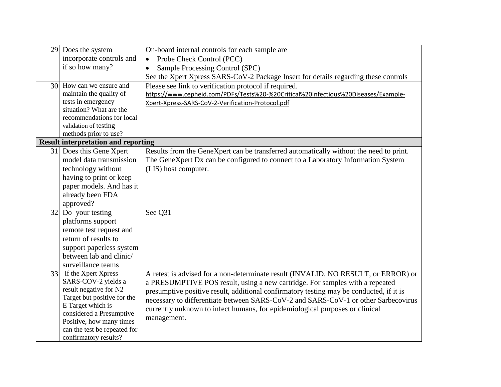| 29. | Does the system                                                     | On-board internal controls for each sample are                                          |  |  |  |
|-----|---------------------------------------------------------------------|-----------------------------------------------------------------------------------------|--|--|--|
|     | incorporate controls and                                            | Probe Check Control (PCC)<br>$\bullet$                                                  |  |  |  |
|     | if so how many?                                                     | Sample Processing Control (SPC)                                                         |  |  |  |
|     |                                                                     | See the Xpert Xpress SARS-CoV-2 Package Insert for details regarding these controls     |  |  |  |
|     | 30 How can we ensure and                                            | Please see link to verification protocol if required.                                   |  |  |  |
|     | maintain the quality of                                             | https://www.cepheid.com/PDFs/Tests%20-%20Critical%20Infectious%20Diseases/Example-      |  |  |  |
|     | tests in emergency                                                  | Xpert-Xpress-SARS-CoV-2-Verification-Protocol.pdf                                       |  |  |  |
|     | situation? What are the                                             |                                                                                         |  |  |  |
|     | recommendations for local                                           |                                                                                         |  |  |  |
|     | validation of testing                                               |                                                                                         |  |  |  |
|     | methods prior to use?<br><b>Result interpretation and reporting</b> |                                                                                         |  |  |  |
|     |                                                                     |                                                                                         |  |  |  |
|     | 31. Does this Gene Xpert                                            | Results from the GeneXpert can be transferred automatically without the need to print.  |  |  |  |
|     | model data transmission                                             | The GeneXpert Dx can be configured to connect to a Laboratory Information System        |  |  |  |
|     | technology without                                                  | (LIS) host computer.                                                                    |  |  |  |
|     | having to print or keep                                             |                                                                                         |  |  |  |
|     | paper models. And has it                                            |                                                                                         |  |  |  |
|     | already been FDA                                                    |                                                                                         |  |  |  |
|     | approved?                                                           |                                                                                         |  |  |  |
| 32. | Do your testing                                                     | See Q31                                                                                 |  |  |  |
|     | platforms support                                                   |                                                                                         |  |  |  |
|     | remote test request and                                             |                                                                                         |  |  |  |
|     | return of results to                                                |                                                                                         |  |  |  |
|     | support paperless system                                            |                                                                                         |  |  |  |
|     | between lab and clinic/                                             |                                                                                         |  |  |  |
|     | surveillance teams                                                  |                                                                                         |  |  |  |
| 33. | If the Xpert Xpress                                                 | A retest is advised for a non-determinate result (INVALID, NO RESULT, or ERROR) or      |  |  |  |
|     | SARS-COV-2 yields a                                                 | a PRESUMPTIVE POS result, using a new cartridge. For samples with a repeated            |  |  |  |
|     | result negative for N2                                              | presumptive positive result, additional confirmatory testing may be conducted, if it is |  |  |  |
|     | Target but positive for the                                         | necessary to differentiate between SARS-CoV-2 and SARS-CoV-1 or other Sarbecovirus      |  |  |  |
|     | E Target which is<br>considered a Presumptive                       | currently unknown to infect humans, for epidemiological purposes or clinical            |  |  |  |
|     | Positive, how many times                                            | management.                                                                             |  |  |  |
|     | can the test be repeated for                                        |                                                                                         |  |  |  |
|     | confirmatory results?                                               |                                                                                         |  |  |  |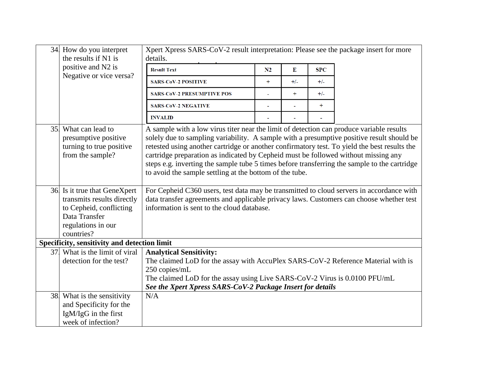|     | 34 How do you interpret<br>the results if N1 is                                                                                            | Xpert Xpress SARS-CoV-2 result interpretation: Please see the package insert for more<br>details.                                                                                                                                                                                                                                                                                                                                                                                                                                      |     |         |            |  |
|-----|--------------------------------------------------------------------------------------------------------------------------------------------|----------------------------------------------------------------------------------------------------------------------------------------------------------------------------------------------------------------------------------------------------------------------------------------------------------------------------------------------------------------------------------------------------------------------------------------------------------------------------------------------------------------------------------------|-----|---------|------------|--|
|     | positive and N2 is                                                                                                                         | <b>Result Text</b>                                                                                                                                                                                                                                                                                                                                                                                                                                                                                                                     | N2  | $\bf E$ | <b>SPC</b> |  |
|     | Negative or vice versa?                                                                                                                    | <b>SARS-CoV-2 POSITIVE</b>                                                                                                                                                                                                                                                                                                                                                                                                                                                                                                             | $+$ | $+/-$   | $+/-$      |  |
|     |                                                                                                                                            | <b>SARS-CoV-2 PRESUMPTIVE POS</b>                                                                                                                                                                                                                                                                                                                                                                                                                                                                                                      |     | $+$     | $+/-$      |  |
|     |                                                                                                                                            | <b>SARS-CoV-2 NEGATIVE</b>                                                                                                                                                                                                                                                                                                                                                                                                                                                                                                             |     |         | $+$        |  |
|     |                                                                                                                                            | <b>INVALID</b>                                                                                                                                                                                                                                                                                                                                                                                                                                                                                                                         |     |         |            |  |
|     | 35. What can lead to<br>presumptive positive<br>turning to true positive<br>from the sample?                                               | A sample with a low virus titer near the limit of detection can produce variable results<br>solely due to sampling variability. A sample with a presumptive positive result should be<br>retested using another cartridge or another confirmatory test. To yield the best results the<br>cartridge preparation as indicated by Cepheid must be followed without missing any<br>steps e.g. inverting the sample tube 5 times before transferring the sample to the cartridge<br>to avoid the sample settling at the bottom of the tube. |     |         |            |  |
|     | 36 Is it true that GeneXpert<br>transmits results directly<br>to Cepheid, conflicting<br>Data Transfer<br>regulations in our<br>countries? | For Cepheid C360 users, test data may be transmitted to cloud servers in accordance with<br>data transfer agreements and applicable privacy laws. Customers can choose whether test<br>information is sent to the cloud database.                                                                                                                                                                                                                                                                                                      |     |         |            |  |
|     | Specificity, sensitivity and detection limit                                                                                               |                                                                                                                                                                                                                                                                                                                                                                                                                                                                                                                                        |     |         |            |  |
| 37. | What is the limit of viral<br>detection for the test?                                                                                      | <b>Analytical Sensitivity:</b><br>The claimed LoD for the assay with AccuPlex SARS-CoV-2 Reference Material with is<br>250 copies/mL<br>The claimed LoD for the assay using Live SARS-CoV-2 Virus is 0.0100 PFU/mL<br>See the Xpert Xpress SARS-CoV-2 Package Insert for details                                                                                                                                                                                                                                                       |     |         |            |  |
|     | 38. What is the sensitivity<br>and Specificity for the<br>IgM/IgG in the first<br>week of infection?                                       | N/A                                                                                                                                                                                                                                                                                                                                                                                                                                                                                                                                    |     |         |            |  |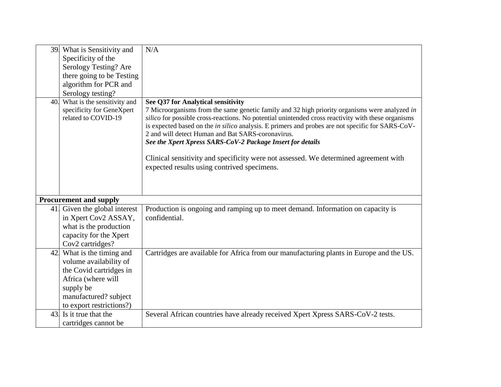|     | 39. What is Sensitivity and<br>Specificity of the<br>Serology Testing? Are<br>there going to be Testing<br>algorithm for PCR and<br>Serology testing?                  | N/A                                                                                                                                                                                                                                                                                                                                                                                                                                                                                                                                                                                                     |
|-----|------------------------------------------------------------------------------------------------------------------------------------------------------------------------|---------------------------------------------------------------------------------------------------------------------------------------------------------------------------------------------------------------------------------------------------------------------------------------------------------------------------------------------------------------------------------------------------------------------------------------------------------------------------------------------------------------------------------------------------------------------------------------------------------|
| 40. | What is the sensitivity and<br>specificity for GeneXpert<br>related to COVID-19                                                                                        | See Q37 for Analytical sensitivity<br>7 Microorganisms from the same genetic family and 32 high priority organisms were analyzed in<br>silico for possible cross-reactions. No potential unintended cross reactivity with these organisms<br>is expected based on the in silico analysis. E primers and probes are not specific for SARS-CoV-<br>2 and will detect Human and Bat SARS-coronavirus.<br>See the Xpert Xpress SARS-CoV-2 Package Insert for details<br>Clinical sensitivity and specificity were not assessed. We determined agreement with<br>expected results using contrived specimens. |
|     | <b>Procurement and supply</b>                                                                                                                                          |                                                                                                                                                                                                                                                                                                                                                                                                                                                                                                                                                                                                         |
|     | 41 Given the global interest<br>in Xpert Cov2 ASSAY,<br>what is the production<br>capacity for the Xpert<br>Cov2 cartridges?                                           | Production is ongoing and ramping up to meet demand. Information on capacity is<br>confidential.                                                                                                                                                                                                                                                                                                                                                                                                                                                                                                        |
|     | 42 What is the timing and<br>volume availability of<br>the Covid cartridges in<br>Africa (where will<br>supply be<br>manufactured? subject<br>to export restrictions?) | Cartridges are available for Africa from our manufacturing plants in Europe and the US.                                                                                                                                                                                                                                                                                                                                                                                                                                                                                                                 |
| 43. | Is it true that the<br>cartridges cannot be                                                                                                                            | Several African countries have already received Xpert Xpress SARS-CoV-2 tests.                                                                                                                                                                                                                                                                                                                                                                                                                                                                                                                          |